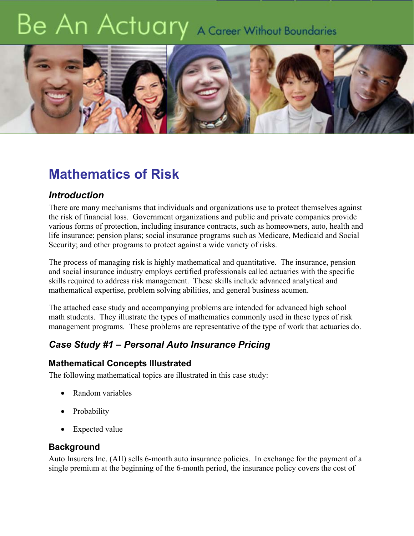# Be An Actuary A Career Without Boundaries



# **Mathematics of Risk**

### *Introduction*

There are many mechanisms that individuals and organizations use to protect themselves against the risk of financial loss. Government organizations and public and private companies provide various forms of protection, including insurance contracts, such as homeowners, auto, health and life insurance; pension plans; social insurance programs such as Medicare, Medicaid and Social Security; and other programs to protect against a wide variety of risks.

The process of managing risk is highly mathematical and quantitative. The insurance, pension and social insurance industry employs certified professionals called actuaries with the specific skills required to address risk management. These skills include advanced analytical and mathematical expertise, problem solving abilities, and general business acumen.

The attached case study and accompanying problems are intended for advanced high school math students. They illustrate the types of mathematics commonly used in these types of risk management programs. These problems are representative of the type of work that actuaries do.

## *Case Study #1 – Personal Auto Insurance Pricing*

#### **Mathematical Concepts Illustrated**

The following mathematical topics are illustrated in this case study:

- ! Random variables
- Probability
- **Expected value**

#### **Background**

Auto Insurers Inc. (AII) sells 6-month auto insurance policies. In exchange for the payment of a single premium at the beginning of the 6-month period, the insurance policy covers the cost of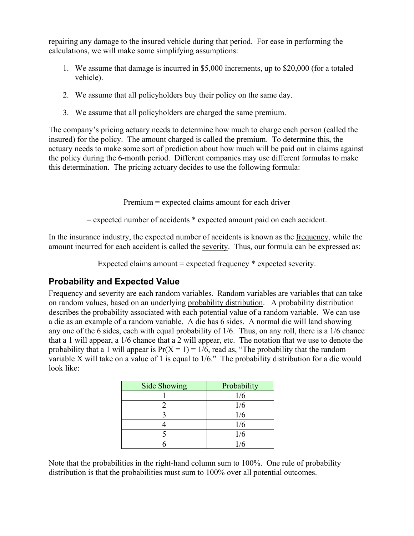repairing any damage to the insured vehicle during that period. For ease in performing the calculations, we will make some simplifying assumptions:

- 1. We assume that damage is incurred in \$5,000 increments, up to \$20,000 (for a totaled vehicle).
- 2. We assume that all policyholders buy their policy on the same day.
- 3. We assume that all policyholders are charged the same premium.

The company's pricing actuary needs to determine how much to charge each person (called the insured) for the policy. The amount charged is called the premium. To determine this, the actuary needs to make some sort of prediction about how much will be paid out in claims against the policy during the 6-month period. Different companies may use different formulas to make this determination. The pricing actuary decides to use the following formula:

Premium = expected claims amount for each driver

= expected number of accidents \* expected amount paid on each accident.

In the insurance industry, the expected number of accidents is known as the frequency, while the amount incurred for each accident is called the severity. Thus, our formula can be expressed as:

Expected claims amount = expected frequency \* expected severity.

#### **Probability and Expected Value**

Frequency and severity are each random variables. Random variables are variables that can take on random values, based on an underlying probability distribution. A probability distribution describes the probability associated with each potential value of a random variable. We can use a die as an example of a random variable. A die has 6 sides. A normal die will land showing any one of the 6 sides, each with equal probability of 1/6. Thus, on any roll, there is a 1/6 chance that a 1 will appear, a 1/6 chance that a 2 will appear, etc. The notation that we use to denote the probability that a 1 will appear is  $Pr(X = 1) = 1/6$ , read as, "The probability that the random variable X will take on a value of 1 is equal to 1/6." The probability distribution for a die would look like:

| <b>Side Showing</b> | Probability |
|---------------------|-------------|
|                     | 1/6         |
|                     | 1/6         |
|                     | 1/6         |
|                     | 1/6         |
|                     | 1/6         |
|                     | 1/6         |

Note that the probabilities in the right-hand column sum to 100%. One rule of probability distribution is that the probabilities must sum to 100% over all potential outcomes.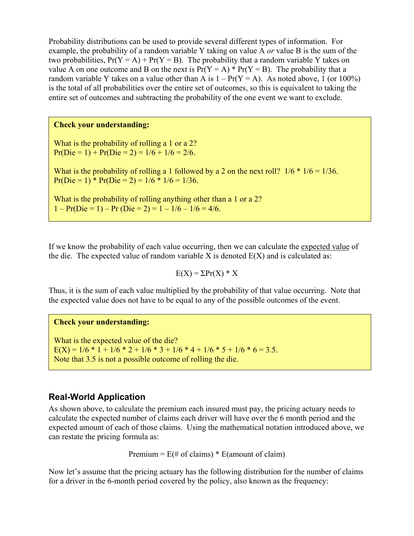Probability distributions can be used to provide several different types of information. For example, the probability of a random variable Y taking on value A *or* value B is the sum of the two probabilities,  $Pr(Y = A) + Pr(Y = B)$ . The probability that a random variable Y takes on value A on one outcome and B on the next is  $Pr(Y = A) * Pr(Y = B)$ . The probability that a random variable Y takes on a value other than A is  $1 - Pr(Y = A)$ . As noted above, 1 (or 100%) is the total of all probabilities over the entire set of outcomes, so this is equivalent to taking the entire set of outcomes and subtracting the probability of the one event we want to exclude.

#### **Check your understanding:**

What is the probability of rolling a 1 or a 2?  $Pr(Die = 1) + Pr(Die = 2) = 1/6 + 1/6 = 2/6.$ 

What is the probability of rolling a 1 followed by a 2 on the next roll?  $1/6 * 1/6 = 1/36$ .  $Pr(Die = 1) * Pr(Die = 2) = 1/6 * 1/6 = 1/36.$ 

What is the probability of rolling anything other than a 1 or a 2?  $1 - Pr(Die = 1) - Pr(Die = 2) = 1 - \frac{1}{6} - \frac{1}{6} = \frac{4}{6}$ .

If we know the probability of each value occurring, then we can calculate the expected value of the die. The expected value of random variable X is denoted  $E(X)$  and is calculated as:

 $E(X) = \Sigma Pr(X) * X$ 

Thus, it is the sum of each value multiplied by the probability of that value occurring. Note that the expected value does not have to be equal to any of the possible outcomes of the event.

#### **Check your understanding:**

What is the expected value of the die?  $E(X) = 1/6 * 1 + 1/6 * 2 + 1/6 * 3 + 1/6 * 4 + 1/6 * 5 + 1/6 * 6 = 3.5.$ Note that 3.5 is not a possible outcome of rolling the die.

#### **Real-World Application**

As shown above, to calculate the premium each insured must pay, the pricing actuary needs to calculate the expected number of claims each driver will have over the 6 month period and the expected amount of each of those claims. Using the mathematical notation introduced above, we can restate the pricing formula as:

```
Premium = E(\text{# of claims}) * E(\text{amount of claim})
```
Now let's assume that the pricing actuary has the following distribution for the number of claims for a driver in the 6-month period covered by the policy, also known as the frequency: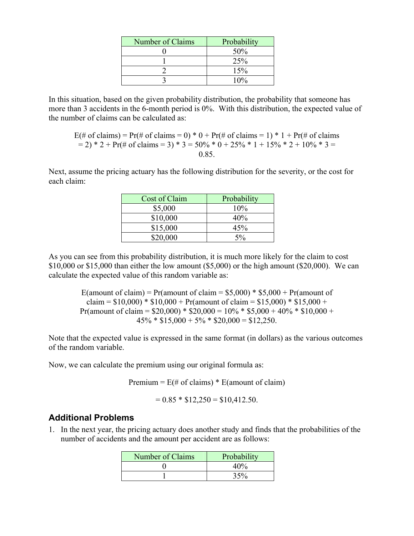| Number of Claims | Probability |
|------------------|-------------|
|                  | 50%         |
|                  | 25%         |
|                  | 15%         |
|                  | 10%         |

In this situation, based on the given probability distribution, the probability that someone has more than 3 accidents in the 6-month period is 0%. With this distribution, the expected value of the number of claims can be calculated as:

 $E(\text{\# of claims}) = Pr(\text{\# of claims} = 0) * 0 + Pr(\text{\# of claims} = 1) * 1 + Pr(\text{\# of claims} = 1)$  $= 2$ ) \* 2 + Pr(# of claims = 3) \* 3 = 50% \* 0 + 25% \* 1 + 15% \* 2 + 10% \* 3 = 0.85.

Next, assume the pricing actuary has the following distribution for the severity, or the cost for each claim:

| Cost of Claim | Probability |
|---------------|-------------|
| \$5,000       | $10\%$      |
| \$10,000      | 40%         |
| \$15,000      | 45%         |
| \$20,000      | $5\%$       |

As you can see from this probability distribution, it is much more likely for the claim to cost \$10,000 or \$15,000 than either the low amount (\$5,000) or the high amount (\$20,000). We can calculate the expected value of this random variable as:

E(amount of claim) = Pr(amount of claim =  $$5,000$ ) \*  $$5,000$  + Pr(amount of claim =  $$10,000$  \*  $$10,000 + Pr(amount of claim = $15,000)$  \*  $$15,000 +$ Pr(amount of claim =  $$20,000$ ) \*  $$20,000 = 10\%$  \*  $$5,000 + 40\%$  \*  $$10,000 +$  $45\% * \$15,000 + 5\% * \$20,000 = \$12,250$ .

Note that the expected value is expressed in the same format (in dollars) as the various outcomes of the random variable.

Now, we can calculate the premium using our original formula as:

Premium =  $E(\text{# of claims}) * E(\text{amount of claim})$ 

 $= 0.85 * $12,250 = $10,412.50$ .

#### **Additional Problems**

1. In the next year, the pricing actuary does another study and finds that the probabilities of the number of accidents and the amount per accident are as follows:

| Number of Claims | Probability |
|------------------|-------------|
|                  | $40\%$      |
|                  | 35%         |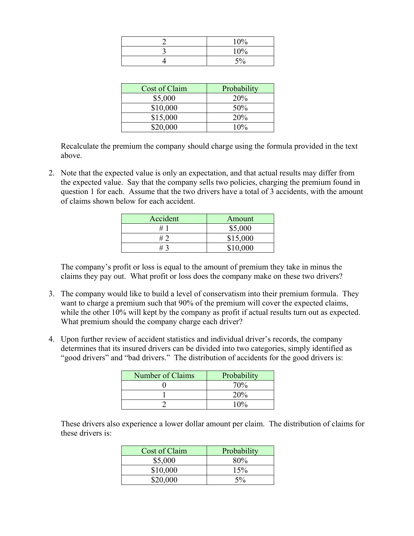| 10% |
|-----|
| 10% |
| 5%  |

| Cost of Claim | Probability |
|---------------|-------------|
| \$5,000       | 20%         |
| \$10,000      | 50%         |
| \$15,000      | 20%         |
| \$20,000      | 10%         |

Recalculate the premium the company should charge using the formula provided in the text above.

2. Note that the expected value is only an expectation, and that actual results may differ from the expected value. Say that the company sells two policies, charging the premium found in question 1 for each. Assume that the two drivers have a total of 3 accidents, with the amount of claims shown below for each accident.

| Accident | Amount   |
|----------|----------|
|          | \$5,000  |
| # 7      | \$15,000 |
|          | \$10,000 |

The company's profit or loss is equal to the amount of premium they take in minus the claims they pay out. What profit or loss does the company make on these two drivers?

- 3. The company would like to build a level of conservatism into their premium formula. They want to charge a premium such that 90% of the premium will cover the expected claims, while the other 10% will kept by the company as profit if actual results turn out as expected. What premium should the company charge each driver?
- 4. Upon further review of accident statistics and individual driver's records, the company determines that its insured drivers can be divided into two categories, simply identified as "good drivers" and "bad drivers." The distribution of accidents for the good drivers is:

| <b>Number of Claims</b> | Probability |
|-------------------------|-------------|
|                         | 70%         |
|                         | 20%         |
|                         | 10%         |

These drivers also experience a lower dollar amount per claim. The distribution of claims for these drivers is:

| Cost of Claim | Probability |
|---------------|-------------|
| \$5,000       | 80%         |
| \$10,000      | 15%         |
| \$20,000      | $5\%$       |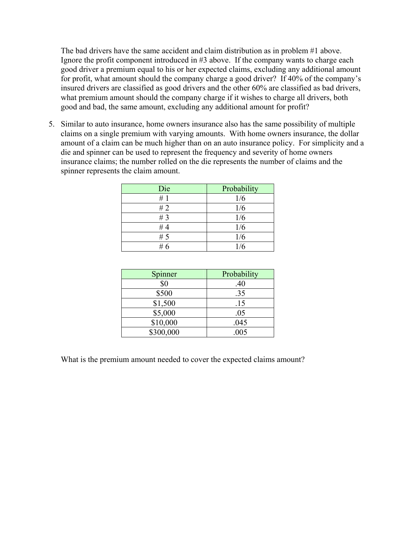The bad drivers have the same accident and claim distribution as in problem #1 above. Ignore the profit component introduced in #3 above. If the company wants to charge each good driver a premium equal to his or her expected claims, excluding any additional amount for profit, what amount should the company charge a good driver? If 40% of the company's insured drivers are classified as good drivers and the other 60% are classified as bad drivers, what premium amount should the company charge if it wishes to charge all drivers, both good and bad, the same amount, excluding any additional amount for profit?

5. Similar to auto insurance, home owners insurance also has the same possibility of multiple claims on a single premium with varying amounts. With home owners insurance, the dollar amount of a claim can be much higher than on an auto insurance policy. For simplicity and a die and spinner can be used to represent the frequency and severity of home owners insurance claims; the number rolled on the die represents the number of claims and the spinner represents the claim amount.

| Die   | Probability |
|-------|-------------|
| #1    | 1/6         |
| #2    | 1/6         |
| # $3$ | 1/6         |
| #4    | 1/6         |
| # $5$ | 1/6         |
| #6    | 1/6         |

| Spinner   | Probability |
|-----------|-------------|
| \$0       | .40         |
| \$500     | .35         |
| \$1,500   | .15         |
| \$5,000   | .05         |
| \$10,000  | .045        |
| \$300,000 | .005        |

What is the premium amount needed to cover the expected claims amount?